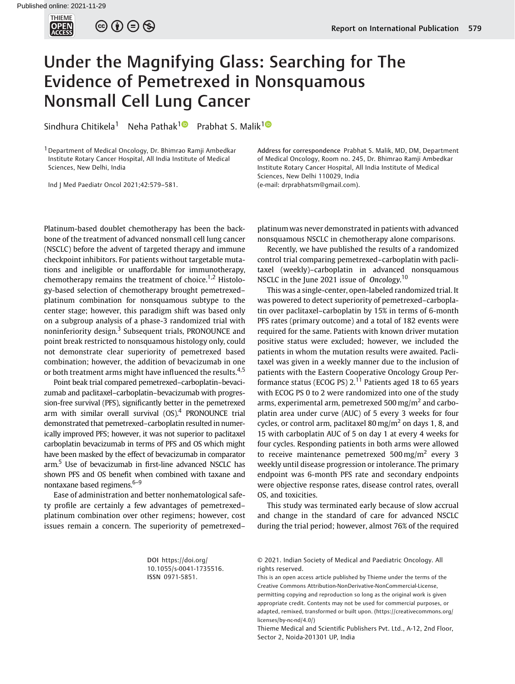

 $\circledcirc \circledcirc \circledcirc$ 

## Under the Magnifying Glass: Searching for The Evidence of Pemetrexed in Nonsquamous Nonsmall Cell Lung Cancer

Sindhura Chitikela<sup>[1](https://orcid.org/0000-0003-0205-8559)</sup> Neha Pathak<sup>10</sup> Prabhat S. Malik<sup>10</sup>

1Department of Medical Oncology, Dr. Bhimrao Ramji Ambedkar Institute Rotary Cancer Hospital, All India Institute of Medical Sciences, New Delhi, India

Ind J Med Paediatr Oncol 2021;42:579–581.

Platinum-based doublet chemotherapy has been the backbone of the treatment of advanced nonsmall cell lung cancer (NSCLC) before the advent of targeted therapy and immune checkpoint inhibitors. For patients without targetable mutations and ineligible or unaffordable for immunotherapy, chemotherapy remains the treatment of choice.<sup>1,2</sup> Histology-based selection of chemotherapy brought pemetrexed– platinum combination for nonsquamous subtype to the center stage; however, this paradigm shift was based only on a subgroup analysis of a phase-3 randomized trial with noninferiority design.<sup>3</sup> Subsequent trials, PRONOUNCE and point break restricted to nonsquamous histology only, could not demonstrate clear superiority of pemetrexed based combination; however, the addition of bevacizumab in one or both treatment arms might have influenced the results.<sup>4,5</sup>

Point beak trial compared pemetrexed–carboplatin–bevacizumab and paclitaxel–carboplatin–bevacizumab with progression-free survival (PFS), significantly better in the pemetrexed arm with similar overall survival  $(OS)^4$  PRONOUNCE trial demonstrated that pemetrexed–carboplatin resulted in numerically improved PFS; however, it was not superior to paclitaxel carboplatin bevacizumab in terms of PFS and OS which might have been masked by the effect of bevacizumab in comparator arm.<sup>5</sup> Use of bevacizumab in first-line advanced NSCLC has shown PFS and OS benefit when combined with taxane and nontaxane based regimens.<sup>6-9</sup>

Ease of administration and better nonhematological safety profile are certainly a few advantages of pemetrexed– platinum combination over other regimens; however, cost issues remain a concern. The superiority of pemetrexed–

Address for correspondence Prabhat S. Malik, MD, DM, Department of Medical Oncology, Room no. 245, Dr. Bhimrao Ramji Ambedkar Institute Rotary Cancer Hospital, All India Institute of Medical Sciences, New Delhi 110029, India (e-mail: [drprabhatsm@gmail.com](mailto:drprabhatsm@gmail.com)).

platinum was never demonstrated in patients with advanced nonsquamous NSCLC in chemotherapy alone comparisons.

Recently, we have published the results of a randomized control trial comparing pemetrexed–carboplatin with paclitaxel (weekly)–carboplatin in advanced nonsquamous NSCLC in the June 2021 issue of Oncology.<sup>10</sup><br>This was a single center apon labeled paper

This was a single-center, open-labeled randomized trial. It was powered to detect superiority of pemetrexed–carboplatin over paclitaxel–carboplatin by 15% in terms of 6-month PFS rates (primary outcome) and a total of 182 events were required for the same. Patients with known driver mutation positive status were excluded; however, we included the patients in whom the mutation results were awaited. Paclitaxel was given in a weekly manner due to the inclusion of patients with the Eastern Cooperative Oncology Group Performance status (ECOG PS)  $2<sup>11</sup>$  Patients aged 18 to 65 years with ECOG PS 0 to 2 were randomized into one of the study arms, experimental arm, pemetrexed 500 mg/m<sup>2</sup> and carboplatin area under curve (AUC) of 5 every 3 weeks for four cycles, or control arm, paclitaxel 80 mg/m<sup>2</sup> on days 1, 8, and 15 with carboplatin AUC of 5 on day 1 at every 4 weeks for four cycles. Responding patients in both arms were allowed to receive maintenance pemetrexed  $500 \,\text{mg/m}^2$  every 3 weekly until disease progression or intolerance. The primary endpoint was 6-month PFS rate and secondary endpoints were objective response rates, disease control rates, overall OS, and toxicities.

This study was terminated early because of slow accrual and change in the standard of care for advanced NSCLC during the trial period; however, almost 76% of the required

DOI [https://doi.org/](https://doi.org/10.1055/s-0041-1735516) [10.1055/s-0041-1735516](https://doi.org/10.1055/s-0041-1735516). ISSN 0971-5851.

© 2021. Indian Society of Medical and Paediatric Oncology. All rights reserved.

This is an open access article published by Thieme under the terms of the Creative Commons Attribution-NonDerivative-NonCommercial-License, permitting copying and reproduction so long as the original work is given appropriate credit. Contents may not be used for commercial purposes, or adapted, remixed, transformed or built upon. (https://creativecommons.org/ licenses/by-nc-nd/4.0/)

Thieme Medical and Scientific Publishers Pvt. Ltd., A-12, 2nd Floor, Sector 2, Noida-201301 UP, India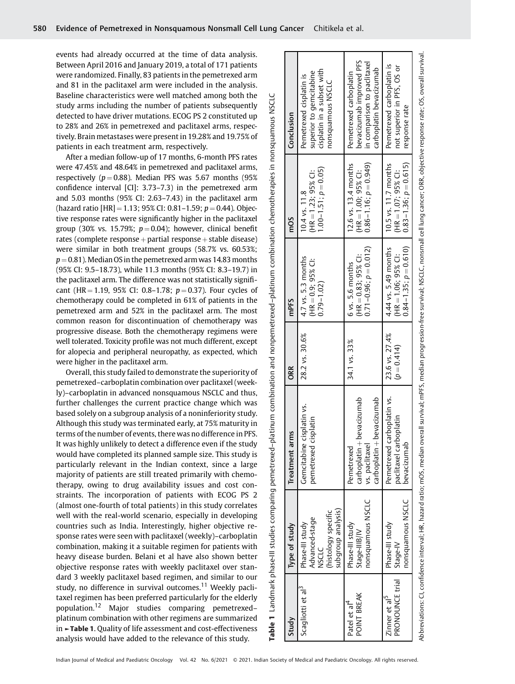events had already occurred at the time of data analysis. Between April 2016 and January 2019, a total of 171 patients were randomized. Finally, 83 patients in the pemetrexed arm and 81 in the paclitaxel arm were included in the analysis. Baseline characteristics were well matched among both the study arms including the number of patients subsequently detected to have driver mutations. ECOG PS 2 constituted up to 28% and 26% in pemetrexed and paclitaxel arms, respectively. Brain metastases were present in 19.28% and 19.75% of patients in each treatment arm, respectively.

After a median follow-up of 17 months, 6-month PFS rates were 47.45% and 48.64% in pemetrexed and paclitaxel arms, respectively ( $p = 0.88$ ). Median PFS was 5.67 months (95%) confidence interval [CI]: 3.73–7.3) in the pemetrexed arm and 5.03 months (95% CI: 2.63–7.43) in the paclitaxel arm (hazard ratio  $[HR] = 1.13$ ; 95% CI: 0.81-1.59;  $p = 0.44$ ). Objective response rates were significantly higher in the paclitaxel group (30% vs. 15.79%;  $p = 0.04$ ); however, clinical benefit rates (complete response  $+$  partial response  $+$  stable disease) were similar in both treatment groups (58.7% vs. 60.53%;  $p = 0.81$ ). Median OS in the pemetrexed arm was 14.83 months (95% CI: 9.5–18.73), while 11.3 months (95% CI: 8.3–19.7) in the paclitaxel arm. The difference was not statistically significant (HR = 1.19, 95% CI: 0.8–1.78;  $p = 0.37$ ). Four cycles of chemotherapy could be completed in 61% of patients in the pemetrexed arm and 52% in the paclitaxel arm. The most common reason for discontinuation of chemotherapy was progressive disease. Both the chemotherapy regimens were well tolerated. Toxicity profile was not much different, except for alopecia and peripheral neuropathy, as expected, which were higher in the paclitaxel arm.

Overall, this study failed to demonstrate the superiority of pemetrexed–carboplatin combination over paclitaxel (weekly)–carboplatin in advanced nonsquamous NSCLC and thus, further challenges the current practice change which was based solely on a subgroup analysis of a noninferiority study. Although this study was terminated early, at 75% maturity in terms of the number of events, there was no difference in PFS. It was highly unlikely to detect a difference even if the study would have completed its planned sample size. This study is particularly relevant in the Indian context, since a large majority of patients are still treated primarily with chemotherapy, owing to drug availability issues and cost constraints. The incorporation of patients with ECOG PS 2 (almost one-fourth of total patients) in this study correlates well with the real-world scenario, especially in developing countries such as India. Interestingly, higher objective response rates were seen with paclitaxel (weekly)–carboplatin combination, making it a suitable regimen for patients with heavy disease burden. Belani et al have also shown better objective response rates with weekly paclitaxel over standard 3 weekly paclitaxel based regimen, and similar to our study, no difference in survival outcomes.<sup>11</sup> Weekly paclitaxel regimen has been preferred particularly for the elderly population.<sup>12</sup> Major studies comparing pemetrexed– platinum combination with other regimens are summarized in ►Table 1. Quality of life assessment and cost-effectiveness analysis would have added to the relevance of this study.

Abbreviations: CI, confidence interval; HR, hazard ratio; mOS, median overall survival; mPFS, median progression-free survival; NSCLC, nonsmall cell lung cancer; ORR, objective response rate; OS, overall survival Abbreviations: CI, confidence interval; HR, hazard ratio; mOS, median overall survival; mPFS, median progression-free survival; NSCLC, nonsmall cell lung cancer; ORR, objective response rate; OS, overall survival. bevacizumab improved PFS bevacizumab improved PFS in comparison to paclitaxel in comparison to paclitaxel Pemetrexed carboplatin is  $\overline{\sigma}$ Pemetrexed carboplatin is not superior in PFS, OS or superior to gemcitabine<br>cisplatin in a subset with carboplatin bevacizumab carboplatin bevacizumab cisplatin in a subset with Pemetrexed carboplatin Pemetrexed cisplatin is superior to gemcitabine Pemetrexed carboplatin not superior in PFS, OS Pemetrexed cisplatin is nonsquamous NSCLC nonsquamous NSCLC **NSCLC** Table 1 Landmark phase-III studies comparing pemetrexed–platinum combination and nonpemetrexed–platinum combination chemotherapies in nonsquamous NSCLC response rate response rate Study Type of study Treatment arms ORR mPFS mOS Conclusion Conclusion nonpemetrexed-platinum combination chemotherapies in nonsquamous 12.6 vs. 13.4 months 10.5 vs. 11.7 months  $0.86 - 1.16; p = 0.949$  $0.83 - 1.36; p = 0.615$ 12.6 vs. 13.4 months 10.5 vs. 11.7 months  $1.00-1.51; p = 0.05$  $= 1.23:95\%$  C:  $= 1.00:95\%$  C:  $= 1.07: 95\%$  Cl: 10.4 vs. 11.8 10.4 vs. 11.8 (HR ¼(HR ¼(HR ¼mOS 4.44 vs. 5.49 months  $0.71 - 0.96; p = 0.012$  $0.71$ –0.96;  $p = 0.012$ )  $0.84 - 1.35; p = 0.610$ 4.44 vs. 5.49 months  $= 0.83:95\%$  C:  $= 1.06$ ; 95% CI: 4.7 vs. 5.3 months  $28.2$  vs.  $30.6\%$  | 4.7 vs. 5.3 months  $= 0.9:95\%$  Cl: 6 vs. 5.6 months 34.1 vs. 33% 6 vs. 5.6 months 0.79–1.02) mPFS (HR ¼(HR ¼(HR ¼23.6 vs. 27.4%<br> $(p = 0.414)$ 28.2 vs. 30.6% 23.6 vs. 27.4% 33% 34.1 vs. able 1 Landmark phase-III studies comparing pemetrexed-platinum combination and ORR Pemetrexed carboplatin vs. Pemetrexed carboplatin vs. bevacizumab bevacizumab Gemcitabine cisplatin vs. Gemcitabine cisplatin vs. paclitaxel carboplatin pemetrexed cisplatin paclitaxel carboplatin pemetrexed cisplatin Treatment arms bevacizumab  $\overline{\phantom{a}}$  $\overline{\phantom{0}}$ vs. paclitaxel bevacizumab vs. paclitaxel Pemetrexed Pemetrexed carboplatin carboplatin Phase-III study<br>Stage-IV<br>nonsquamous NSCLC nonsquamous NSCLC nonsquamous NSCLC nonsquamous NSCLC subgroup analysis) subgroup analysis) (histology specific (histology specific Advanced-stage Advanced-stage Phase-III study Scagliotti et al<sup>3</sup> Phase-III study Phase-III study Phase-III study Phase-III study Type of study Stage-IIIB/IV Stage-IIIB/IV NSCLC PRONOUNCE trial PRONOUNCE trial Scagliotti et al<sup>3</sup> Patel et al<sup>4</sup><br>POINT BREAK POINT BREAK Zinner et al<sup>5</sup> Zinner et al5 Study